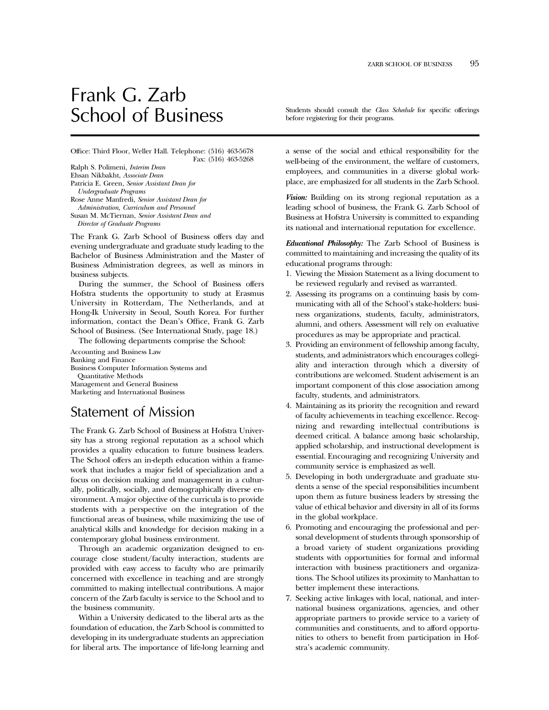# Frank G. Zarb

Office: Third Floor, Weller Hall. Telephone: (516) 463-5678 Fax: (516) 463-5268

Ralph S. Polimeni, *Interim Dean* Ehsan Nikbakht, *Associate Dean* Patricia E. Green, *Senior Assistant Dean for Undergraduate Programs* Rose Anne Manfredi, *Senior Assistant Dean for Administration, Curriculum and Personnel* Susan M. McTiernan, *Senior Assistant Dean and Director of Graduate Programs*

The Frank G. Zarb School of Business offers day and evening undergraduate and graduate study leading to the Bachelor of Business Administration and the Master of Business Administration degrees, as well as minors in business subjects.

During the summer, the School of Business offers Hofstra students the opportunity to study at Erasmus University in Rotterdam, The Netherlands, and at Hong-Ik University in Seoul, South Korea. For further information, contact the Dean's Office, Frank G. Zarb School of Business. (See International Study, page 18.)

The following departments comprise the School:

Accounting and Business Law Banking and Finance Business Computer Information Systems and Quantitative Methods Management and General Business Marketing and International Business

# Statement of Mission

The Frank G. Zarb School of Business at Hofstra University has a strong regional reputation as a school which provides a quality education to future business leaders. The School offers an in-depth education within a framework that includes a major field of specialization and a focus on decision making and management in a culturally, politically, socially, and demographically diverse environment. A major objective of the curricula is to provide students with a perspective on the integration of the functional areas of business, while maximizing the use of analytical skills and knowledge for decision making in a contemporary global business environment.

Through an academic organization designed to encourage close student/faculty interaction, students are provided with easy access to faculty who are primarily concerned with excellence in teaching and are strongly committed to making intellectual contributions. A major concern of the Zarb faculty is service to the School and to the business community.

Within a University dedicated to the liberal arts as the foundation of education, the Zarb School is committed to developing in its undergraduate students an appreciation for liberal arts. The importance of life-long learning and

School of Business Students should consult the *Class Schedule* for specific offerings before registering for their programs.

> a sense of the social and ethical responsibility for the well-being of the environment, the welfare of customers, employees, and communities in a diverse global workplace, are emphasized for all students in the Zarb School.

> *Vision:* Building on its strong regional reputation as a leading school of business, the Frank G. Zarb School of Business at Hofstra University is committed to expanding its national and international reputation for excellence.

> *Educational Philosophy:* The Zarb School of Business is committed to maintaining and increasing the quality of its educational programs through:

- 1. Viewing the Mission Statement as a living document to be reviewed regularly and revised as warranted.
- 2. Assessing its programs on a continuing basis by communicating with all of the School's stake-holders: business organizations, students, faculty, administrators, alumni, and others. Assessment will rely on evaluative procedures as may be appropriate and practical.
- 3. Providing an environment of fellowship among faculty, students, and administrators which encourages collegiality and interaction through which a diversity of contributions are welcomed. Student advisement is an important component of this close association among faculty, students, and administrators.
- 4. Maintaining as its priority the recognition and reward of faculty achievements in teaching excellence. Recognizing and rewarding intellectual contributions is deemed critical. A balance among basic scholarship, applied scholarship, and instructional development is essential. Encouraging and recognizing University and community service is emphasized as well.
- 5. Developing in both undergraduate and graduate students a sense of the special responsibilities incumbent upon them as future business leaders by stressing the value of ethical behavior and diversity in all of its forms in the global workplace.
- 6. Promoting and encouraging the professional and personal development of students through sponsorship of a broad variety of student organizations providing students with opportunities for formal and informal interaction with business practitioners and organizations. The School utilizes its proximity to Manhattan to better implement these interactions.
- 7. Seeking active linkages with local, national, and international business organizations, agencies, and other appropriate partners to provide service to a variety of communities and constituents, and to afford opportunities to others to benefit from participation in Hofstra's academic community.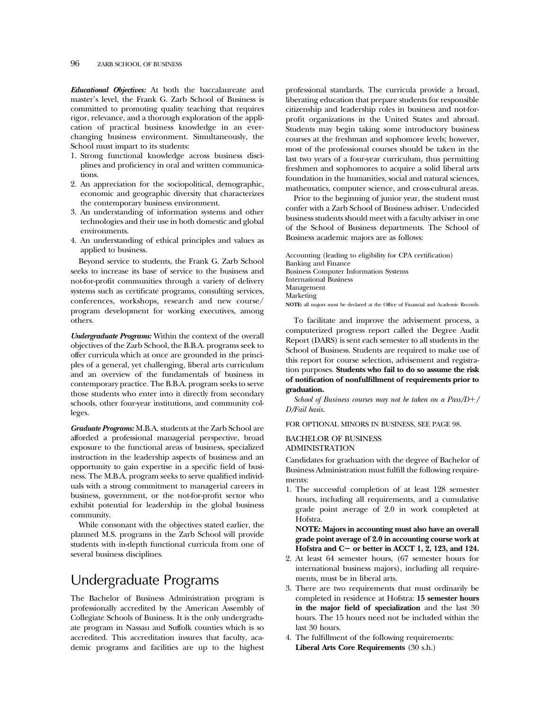*Educational Objectives:* At both the baccalaureate and master's level, the Frank G. Zarb School of Business is committed to promoting quality teaching that requires rigor, relevance, and a thorough exploration of the application of practical business knowledge in an everchanging business environment. Simultaneously, the School must impart to its students:

- 1. Strong functional knowledge across business disciplines and proficiency in oral and written communications.
- 2. An appreciation for the sociopolitical, demographic, economic and geographic diversity that characterizes the contemporary business environment.
- 3. An understanding of information systems and other technologies and their use in both domestic and global environments.
- 4. An understanding of ethical principles and values as applied to business.

Beyond service to students, the Frank G. Zarb School seeks to increase its base of service to the business and not-for-profit communities through a variety of delivery systems such as certificate programs, consulting services, conferences, workshops, research and new course/ program development for working executives, among others.

*Undergraduate Programs:* Within the context of the overall objectives of the Zarb School, the B.B.A. programs seek to offer curricula which at once are grounded in the principles of a general, yet challenging, liberal arts curriculum and an overview of the fundamentals of business in contemporary practice. The B.B.A. program seeks to serve those students who enter into it directly from secondary schools, other four-year institutions, and community colleges.

*Graduate Programs:* M.B.A. students at the Zarb School are afforded a professional managerial perspective, broad exposure to the functional areas of business, specialized instruction in the leadership aspects of business and an opportunity to gain expertise in a specific field of business. The M.B.A. program seeks to serve qualified individuals with a strong commitment to managerial careers in business, government, or the not-for-profit sector who exhibit potential for leadership in the global business community.

While consonant with the objectives stated earlier, the planned M.S. programs in the Zarb School will provide students with in-depth functional curricula from one of several business disciplines.

# Undergraduate Programs

The Bachelor of Business Administration program is professionally accredited by the American Assembly of Collegiate Schools of Business. It is the only undergraduate program in Nassau and Suffolk counties which is so accredited. This accreditation insures that faculty, academic programs and facilities are up to the highest

professional standards. The curricula provide a broad, liberating education that prepare students for responsible citizenship and leadership roles in business and not-forprofit organizations in the United States and abroad. Students may begin taking some introductory business courses at the freshman and sophomore levels; however, most of the professional courses should be taken in the last two years of a four-year curriculum, thus permitting freshmen and sophomores to acquire a solid liberal arts foundation in the humanities, social and natural sciences, mathematics, computer science, and cross-cultural areas.

Prior to the beginning of junior year, the student must confer with a Zarb School of Business adviser. Undecided business students should meet with a faculty adviser in one of the School of Business departments. The School of Business academic majors are as follows:

Accounting (leading to eligibility for CPA certification) Banking and Finance Business Computer Information Systems International Business Management Marketing **NOTE:** all majors must be declared at the Office of Financial and Academic Records.

To facilitate and improve the advisement process, a computerized progress report called the Degree Audit Report (DARS) is sent each semester to all students in the School of Business. Students are required to make use of this report for course selection, advisement and registration purposes. **Students who fail to do so assume the risk of notification of nonfulfillment of requirements prior to graduation.**

*School of Business courses may not be taken on a Pass/D+/ D/Fail basis.*

FOR OPTIONAL MINORS IN BUSINESS, SEE PAGE 98.

# BACHELOR OF BUSINESS ADMINISTRATION

Candidates for graduation with the degree of Bachelor of Business Administration must fulfill the following requirements:

1. The successful completion of at least 128 semester hours, including all requirements, and a cumulative grade point average of 2.0 in work completed at Hofstra.

**NOTE: Majors in accounting must also have an overall grade point average of 2.0 in accounting course work at Hofstra and C**2 **or better in ACCT 1, 2, 123, and 124.**

- 2. At least 64 semester hours, (67 semester hours for international business majors), including all requirements, must be in liberal arts.
- 3. There are two requirements that must ordinarily be completed in residence at Hofstra: **15 semester hours in the major field of specialization** and the last 30 hours. The 15 hours need not be included within the last 30 hours.
- 4. The fulfillment of the following requirements: **Liberal Arts Core Requirements** (30 s.h.)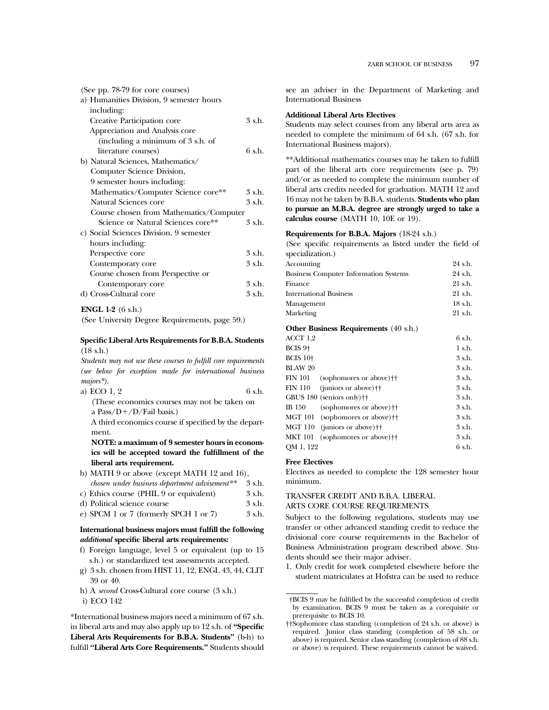| (See pp. 78-79 for core courses)         |        |
|------------------------------------------|--------|
| a) Humanities Division, 9 semester hours |        |
| including:                               |        |
| Creative Participation core              | 3 s.h. |
| Appreciation and Analysis core           |        |
| (including a minimum of 3 s.h. of        |        |
| literature courses)                      | 6 s.h. |
| b) Natural Sciences, Mathematics/        |        |
| Computer Science Division,               |        |
| 9 semester hours including:              |        |
| Mathematics/Computer Science core**      | 3 s.h. |
| Natural Sciences core                    | 3 s.h. |
| Course chosen from Mathematics/Computer  |        |
| Science or Natural Sciences core**       | 3 s.h. |
| c) Social Sciences Division, 9 semester  |        |
| hours including:                         |        |
| Perspective core                         | 3 s.h. |
| Contemporary core                        | 3 s.h. |
| Course chosen from Perspective or        |        |
| Contemporary core                        | 3 s.h. |
| d) Cross-Cultural core                   | 3 s.h. |
|                                          |        |

# **ENGL 1-2** (6 s.h.)

(See University Degree Requirements, page 59.)

#### **Specific Liberal Arts Requirements for B.B.A. Students** (18 s.h.)

*Students may not use these courses to fulfill core requirements (see below for exception made for international business majors\*).*

| a) ECO 1, 2 | 6 s.h. |
|-------------|--------|
|-------------|--------|

```
(These economics courses may not be taken on
a Pass/D+/D/Fail basis.)
```
A third economics course if specified by the department.

**NOTE: a maximum of 9 semester hours in economics will be accepted toward the fulfillment of the liberal arts requirement.**

b) MATH 9 or above (except MATH 12 and 16), *chosen under business department advisement\*\** 3 s.h.

| creater array accepted appearance automorrow | .      |
|----------------------------------------------|--------|
| c) Ethics course (PHIL 9 or equivalent)      | 3 s.h. |
| d) Political science course                  | 3 s.h. |

e) SPCM  $1$  or  $7$  (formerly SPCH  $1$  or  $7$ )  $3$  s.h.

# **International business majors must fulfill the following** *additional* **specific liberal arts requirements:**

- f) Foreign language, level 5 or equivalent (up to 15 s.h.) or standardized test assessments accepted.
- g) 3 s.h. chosen from HIST 11, 12, ENGL 43, 44, CLIT 39 or 40.
- h) A *second* Cross-Cultural core course (3 s.h.)
- i) ECO 142

\*International business majors need a minimum of 67 s.h. in liberal arts and may also apply up to 12 s.h. of **''Specific Liberal Arts Requirements for B.B.A. Students''** (b-h) to fulfill **''Liberal Arts Core Requirements.''** Students should

see an adviser in the Department of Marketing and International Business

#### **Additional Liberal Arts Electives**

Students may select courses from any liberal arts area as needed to complete the minimum of 64 s.h. (67 s.h. for International Business majors).

\*\*Additional mathematics courses may be taken to fulfill part of the liberal arts core requirements (see p. 79) and/or as needed to complete the minimum number of liberal arts credits needed for graduation. MATH 12 and 16 may not be taken by B.B.A. students. **Students who plan to pursue an M.B.A. degree are strongly urged to take a calculus course** (MATH 10, 10E or 19).

# **Requirements for B.B.A. Majors** (18-24 s.h.)

(See specific requirements as listed under the field of specialization.)

| Accounting                                            | 24 s.h.  |
|-------------------------------------------------------|----------|
| <b>Business Computer Information Systems</b>          | 24 s.h.  |
| Finance                                               | 21 s.h.  |
| <b>International Business</b>                         | 21 s.h.  |
| Management                                            | 18 s.h.  |
| Marketing                                             | 21 s.h.  |
| <b>Other Business Requirements</b> (40 s.h.)          |          |
| ACCT 1,2                                              | 6 s.h.   |
| BCIS 9 <sup>+</sup>                                   | $1$ s.h. |
| <b>BCIS 10+</b>                                       | 3 s.h.   |
| <b>BLAW 20</b>                                        | 3 s.h.   |
| <b>FIN 101</b><br>(sophomores or above) <sup>††</sup> | 3 s.h.   |
| <b>FIN 110</b><br>(juniors or above) $\dagger\dagger$ | 3 s.h.   |
| GBUS 180<br>$(seniors only)$ <sup>++</sup>            | 3 s.h.   |
| IB 150<br>(sophomores or above) <sup>††</sup>         | 3 s.h.   |
| <b>MGT 101</b><br>(sophomores or above) <sup>††</sup> | 3 s.h.   |
| <b>MGT 110</b><br>(juniors or above) $\dagger\dagger$ | 3 s.h.   |
| <b>MKT 101</b><br>(sophomores or above) <sup>††</sup> | 3 s.h.   |
| QM 1, 122                                             | 6 s.h.   |

# **Free Electives**

Electives as needed to complete the 128 semester hour minimum.

# TRANSFER CREDIT AND B.B.A. LIBERAL

# ARTS CORE COURSE REQUIREMENTS

Subject to the following regulations, students may use transfer or other advanced standing credit to reduce the divisional core course requirements in the Bachelor of Business Administration program described above. Students should see their major adviser.

1. Only credit for work completed elsewhere before the student matriculates at Hofstra can be used to reduce

<sup>†</sup>BCIS 9 may be fulfilled by the successful completion of credit by examination. BCIS 9 must be taken as a corequisite or prerequisite to BCIS 10.

<sup>††</sup>Sophomore class standing (completion of 24 s.h. or above) is required. Junior class standing (completion of 58 s.h. or above) is required. Senior class standing (completion of 88 s.h. or above) is required. These requirements cannot be waived.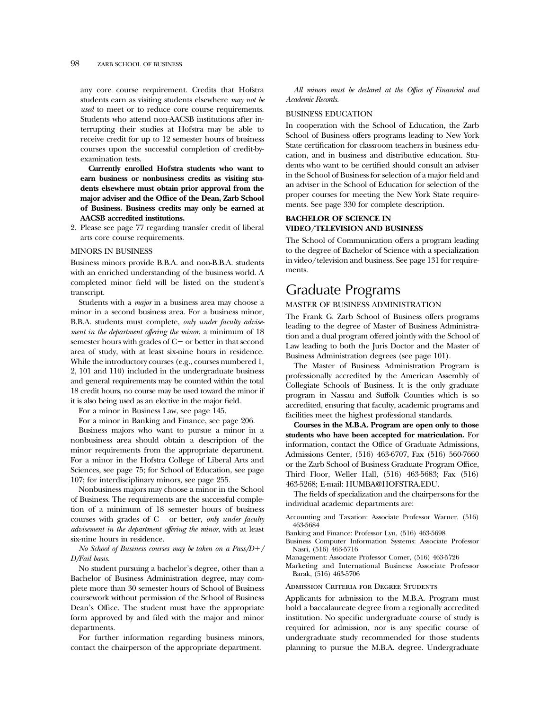any core course requirement. Credits that Hofstra students earn as visiting students elsewhere *may not be used* to meet or to reduce core course requirements. Students who attend non-AACSB institutions after interrupting their studies at Hofstra may be able to receive credit for up to 12 semester hours of business courses upon the successful completion of credit-byexamination tests.

**Currently enrolled Hofstra students who want to earn business or nonbusiness credits as visiting students elsewhere must obtain prior approval from the major adviser and the Office of the Dean, Zarb School of Business. Business credits may only be earned at AACSB accredited institutions.**

2. Please see page 77 regarding transfer credit of liberal arts core course requirements.

#### MINORS IN BUSINESS

Business minors provide B.B.A. and non-B.B.A. students with an enriched understanding of the business world. A completed minor field will be listed on the student's transcript.

Students with a *major* in a business area may choose a minor in a second business area. For a business minor, B.B.A. students must complete, *only under faculty advisement in the department offering the minor*, a minimum of 18 semester hours with grades of  $C-$  or better in that second area of study, with at least six-nine hours in residence. While the introductory courses (e.g., courses numbered 1, 2, 101 and 110) included in the undergraduate business and general requirements may be counted within the total 18 credit hours, no course may be used toward the minor if it is also being used as an elective in the major field.

For a minor in Business Law, see page 145.

For a minor in Banking and Finance, see page 206.

Business majors who want to pursue a minor in a nonbusiness area should obtain a description of the minor requirements from the appropriate department. For a minor in the Hofstra College of Liberal Arts and Sciences, see page 75; for School of Education, see page 107; for interdisciplinary minors, see page 255.

Nonbusiness majors may choose a minor in the School of Business. The requirements are the successful completion of a minimum of 18 semester hours of business courses with grades of C- or better, *only under faculty advisement in the department offering the minor*, with at least six-nine hours in residence.

#### *No School of Business courses may be taken on a Pass/D+/ D/Fail basis.*

No student pursuing a bachelor's degree, other than a Bachelor of Business Administration degree, may complete more than 30 semester hours of School of Business coursework without permission of the School of Business Dean's Office. The student must have the appropriate form approved by and filed with the major and minor departments.

For further information regarding business minors, contact the chairperson of the appropriate department.

*All minors must be declared at the Office of Financial and Academic Records.*

#### BUSINESS EDUCATION

In cooperation with the School of Education, the Zarb School of Business offers programs leading to New York State certification for classroom teachers in business education, and in business and distributive education. Students who want to be certified should consult an adviser in the School of Business for selection of a major field and an adviser in the School of Education for selection of the proper courses for meeting the New York State requirements. See page 330 for complete description.

# **BACHELOR OF SCIENCE IN VIDEO/TELEVISION AND BUSINESS**

The School of Communication offers a program leading to the degree of Bachelor of Science with a specialization in video/television and business. See page 131 for requirements.

# Graduate Programs

# MASTER OF BUSINESS ADMINISTRATION

The Frank G. Zarb School of Business offers programs leading to the degree of Master of Business Administration and a dual program offered jointly with the School of Law leading to both the Juris Doctor and the Master of Business Administration degrees (see page 101).

The Master of Business Administration Program is professionally accredited by the American Assembly of Collegiate Schools of Business. It is the only graduate program in Nassau and Suffolk Counties which is so accredited, ensuring that faculty, academic programs and facilities meet the highest professional standards.

**Courses in the M.B.A. Program are open only to those students who have been accepted for matriculation.** For information, contact the Office of Graduate Admissions, Admissions Center, (516) 463-6707, Fax (516) 560-7660 or the Zarb School of Business Graduate Program Office, Third Floor, Weller Hall, (516) 463-5683; Fax (516) 463-5268; E-mail: HUMBA@HOFSTRA.EDU.

The fields of specialization and the chairpersons for the individual academic departments are:

- Accounting and Taxation: Associate Professor Warner, (516) 463-5684
- Banking and Finance: Professor Lyn, (516) 463-5698
- Business Computer Information Systems: Associate Professor Nasri, (516) 463-5716
- Management: Associate Professor Comer, (516) 463-5726

Marketing and International Business: Associate Professor Barak, (516) 463-5706

Admission Criteria for Degree Students

Applicants for admission to the M.B.A. Program must hold a baccalaureate degree from a regionally accredited institution. No specific undergraduate course of study is required for admission, nor is any specific course of undergraduate study recommended for those students planning to pursue the M.B.A. degree. Undergraduate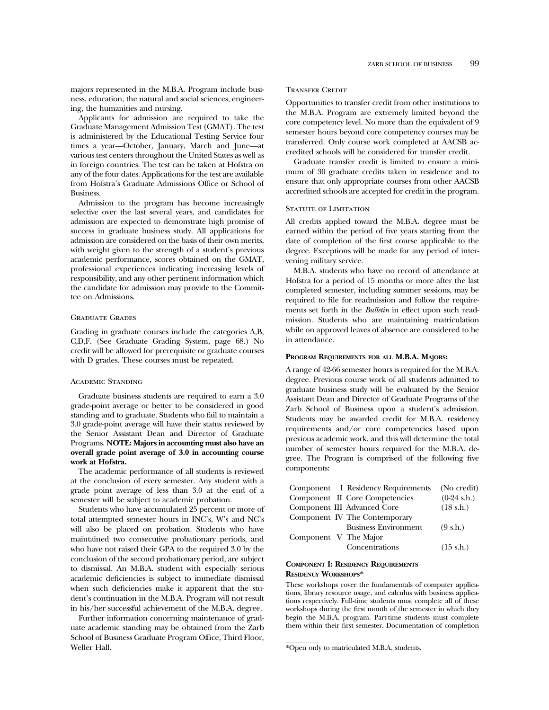majors represented in the M.B.A. Program include business, education, the natural and social sciences, engineering, the humanities and nursing.

Applicants for admission are required to take the Graduate Management Admission Test (GMAT). The test is administered by the Educational Testing Service four times a year—October, January, March and June—at various test centers throughout the United States as well as in foreign countries. The test can be taken at Hofstra on any of the four dates. Applications for the test are available from Hofstra's Graduate Admissions Office or School of Business.

Admission to the program has become increasingly selective over the last several years, and candidates for admission are expected to demonstrate high promise of success in graduate business study. All applications for admission are considered on the basis of their own merits, with weight given to the strength of a student's previous academic performance, scores obtained on the GMAT, professional experiences indicating increasing levels of responsibility, and any other pertinent information which the candidate for admission may provide to the Committee on Admissions.

#### Graduate Grades

Grading in graduate courses include the categories A,B, C,D,F. (See Graduate Grading System, page 68.) No credit will be allowed for prerequisite or graduate courses with D grades. These courses must be repeated.

#### Academic Standing

Graduate business students are required to earn a 3.0 grade-point average or better to be considered in good standing and to graduate. Students who fail to maintain a 3.0 grade-point average will have their status reviewed by the Senior Assistant Dean and Director of Graduate Programs. **NOTE: Majors in accounting must also have an overall grade point average of 3.0 in accounting course work at Hofstra.**

The academic performance of all students is reviewed at the conclusion of every semester. Any student with a grade point average of less than 3.0 at the end of a semester will be subject to academic probation.

Students who have accumulated 25 percent or more of total attempted semester hours in INC's, W's and NC's will also be placed on probation. Students who have maintained two consecutive probationary periods, and who have not raised their GPA to the required 3.0 by the conclusion of the second probationary period, are subject to dismissal. An M.B.A. student with especially serious academic deficiencies is subject to immediate dismissal when such deficiencies make it apparent that the student's continuation in the M.B.A. Program will not result in his/her successful achievement of the M.B.A. degree.

Further information concerning maintenance of graduate academic standing may be obtained from the Zarb School of Business Graduate Program Office, Third Floor, Weller Hall.

#### Transfer Credit

Opportunities to transfer credit from other institutions to the M.B.A. Program are extremely limited beyond the core competency level. No more than the equivalent of 9 semester hours beyond core competency courses may be transferred. Only course work completed at AACSB accredited schools will be considered for transfer credit.

Graduate transfer credit is limited to ensure a minimum of 30 graduate credits taken in residence and to ensure that only appropriate courses from other AACSB accredited schools are accepted for credit in the program.

#### STATUTE OF LIMITATION

All credits applied toward the M.B.A. degree must be earned within the period of five years starting from the date of completion of the first course applicable to the degree. Exceptions will be made for any period of intervening military service.

M.B.A. students who have no record of attendance at Hofstra for a period of 15 months or more after the last completed semester, including summer sessions, may be required to file for readmission and follow the requirements set forth in the *Bulletin* in effect upon such readmission. Students who are maintaining matriculation while on approved leaves of absence are considered to be in attendance.

#### **PROGRAM REQUIREMENTS FOR ALL M.B.A. MAJORS:**

A range of 42-66 semester hours is required for the M.B.A. degree. Previous course work of all students admitted to graduate business study will be evaluated by the Senior Assistant Dean and Director of Graduate Programs of the Zarb School of Business upon a student's admission. Students may be awarded credit for M.B.A. residency requirements and/or core competencies based upon previous academic work, and this will determine the total number of semester hours required for the M.B.A. degree. The Program is comprised of the following five components:

|                       | Component I Residency Requirements | (No credit)         |
|-----------------------|------------------------------------|---------------------|
|                       | Component II Core Competencies     | $(0-24$ s.h.)       |
|                       | Component III Advanced Core        | $(18 \text{ s.h.})$ |
|                       | Component IV The Contemporary      |                     |
|                       | <b>Business Environment</b>        | $(9 \text{ s.h.})$  |
| Component V The Major |                                    |                     |
|                       | Concentrations                     | $(15 \text{ s.h.})$ |

# **COMPONENT I: RESIDENCY REQUIREMENTS RESIDENCY WORKSHOPS\***

These workshops cover the fundamentals of computer applications, library resource usage, and calculus with business applications respectively. Full-time students must complete all of these workshops during the first month of the semester in which they begin the M.B.A. program. Part-time students must complete them within their first semester. Documentation of completion

<sup>\*</sup>Open only to matriculated M.B.A. students.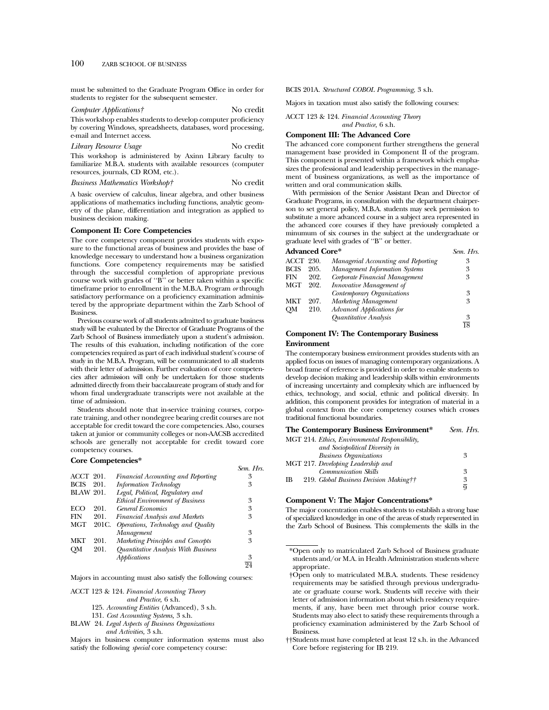must be submitted to the Graduate Program Office in order for students to register for the subsequent semester.

*Computer Applications†* No credit This workshop enables students to develop computer proficiency by covering Windows, spreadsheets, databases, word processing,

e-mail and Internet access. *Library Resource Usage* No credit

This workshop is administered by Axinn Library faculty to familiarize M.B.A. students with available resources (computer resources, journals, CD ROM, etc.).

*Business Mathematics Workshop†* No credit

A basic overview of calculus, linear algebra, and other business applications of mathematics including functions, analytic geometry of the plane, differentiation and integration as applied to business decision making.

# **Component II: Core Competencies**

The core competency component provides students with exposure to the functional areas of business and provides the base of knowledge necessary to understand how a business organization functions. Core competency requirements may be satisfied through the successful completion of appropriate previous course work with grades of ''B'' or better taken within a specific timeframe prior to enrollment in the M.B.A. Program *or* through satisfactory performance on a proficiency examination administered by the appropriate department within the Zarb School of Business.

Previous course work of all students admitted to graduate business study will be evaluated by the Director of Graduate Programs of the Zarb School of Business immediately upon a student's admission. The results of this evaluation, including notification of the core competencies required as part of each individual student's course of study in the M.B.A. Program, will be communicated to all students with their letter of admission. Further evaluation of core competencies after admission will only be undertaken for those students admitted directly from their baccalaureate program of study and for whom final undergraduate transcripts were not available at the time of admission.

Students should note that in-service training courses, corporate training, and other nondegree bearing credit courses are not acceptable for credit toward the core competencies. Also, courses taken at junior or community colleges or non-AACSB accredited schools are generally not acceptable for credit toward core competency courses.

#### **Core Competencies\***

|                  |                                        | Sem. Hrs.                                                     |
|------------------|----------------------------------------|---------------------------------------------------------------|
| <b>ACCT 201.</b> | Financial Accounting and Reporting     | 3                                                             |
| 201.             | <b>Information Technology</b>          | 3                                                             |
| <b>BLAW 201.</b> | Legal, Political, Regulatory and       |                                                               |
|                  | <b>Ethical Environment of Business</b> | 3                                                             |
| 201.             | <b>General Economics</b>               | 3                                                             |
| 201.             | <b>Financial Analysis and Markets</b>  | 3                                                             |
| 201C.            |                                        |                                                               |
|                  | Management                             | 3                                                             |
| 201.             | Marketing Principles and Concepts      | 3                                                             |
| 201.             | Quantitative Analysis With Business    |                                                               |
|                  | Applications                           | 3                                                             |
|                  |                                        | 94                                                            |
|                  |                                        | <b>COTE COMPETENTES</b><br>Operations, Technology and Quality |

Majors in accounting must also satisfy the following courses:

ACCT 123 & 124. *Financial Accounting Theory*

*and Practice,* 6 s.h.

125. *Accounting Entities* (Advanced), 3 s.h.

131. *Cost Accounting Systems,* 3 s.h.

BLAW 24. *Legal Aspects of Business Organizations*

*and Activities,* 3 s.h.

Majors in business computer information systems must also satisfy the following *special* core competency course:

BCIS 201A. *Structured COBOL Programming*, 3 s.h.

Majors in taxation must also satisfy the following courses:

ACCT 123 & 124. *Financial Accounting Theory and Practice,* 6 s.h.

# **Component III: The Advanced Core**

The advanced core component further strengthens the general management base provided in Component II of the program. This component is presented within a framework which emphasizes the professional and leadership perspectives in the management of business organizations, as well as the importance of written and oral communication skills.

With permission of the Senior Assistant Dean and Director of Graduate Programs, in consultation with the department chairperson to set general policy, M.B.A. students may seek permission to substitute a more advanced course in a subject area represented in the advanced core courses if they have previously completed a minumum of six courses in the subject at the undergraduate or graduate level with grades of ''B'' or better.

| <b>Advanced Core*</b> |      | Sem. Hrs.                           |    |
|-----------------------|------|-------------------------------------|----|
| ACCT                  | 230. | Managerial Accounting and Reporting | 3  |
| <b>BCIS</b>           | 205. | Management Information Systems      | 3  |
| FIN                   | 202. | Corporate Financial Management      | 3  |
| MGT                   | 202. | Innovative Management of            |    |
|                       |      | Contemporary Organizations          | 3  |
| MKT                   | 207. | Marketing Management                | 3  |
| OМ                    | 210. | Advanced Applications for           |    |
|                       |      | Quantitative Analysis               | 3  |
|                       |      |                                     | 18 |

# **Component IV: The Contemporary Business Environment**

The contemporary business environment provides students with an applied focus on issues of managing contemporary organizations. A broad frame of reference is provided in order to enable students to develop decision making and leadership skills within environments of increasing uncertainty and complexity which are influenced by ethics, technology, and social, ethnic and political diversity. In addition, this component provides for integration of material in a global context from the core competency courses which crosses traditional functional boundaries.

#### **The Contemporary Business Environment\*** *Sem. Hrs.*

|    | MGT 214. Ethics, Environmental Responsibility, |                |
|----|------------------------------------------------|----------------|
|    | and Sociopolitical Diversity in                |                |
|    | <b>Business Organizations</b>                  | ዳ              |
|    | MGT 217. Developing Leadership and             |                |
|    | Communication Skills                           | 3              |
| IB | 219. Global Business Decision Making††         | 3              |
|    |                                                | $\overline{q}$ |

#### **Component V: The Major Concentrations\***

The major concentration enables students to establish a strong base of specialized knowledge in one of the areas of study represented in the Zarb School of Business. This complements the skills in the

<sup>\*</sup>Open only to matriculated Zarb School of Business graduate students and/or M.A. in Health Administration students where appropriate.

<sup>†</sup>Open only to matriculated M.B.A. students. These residency requirements may be satisfied through previous undergraduate or graduate course work. Students will receive with their letter of admission information about which residency requirements, if any, have been met through prior course work. Students may also elect to satisfy these requirements through a proficiency examination administered by the Zarb School of Business.

<sup>††</sup>Students must have completed at least 12 s.h. in the Advanced Core before registering for IB 219.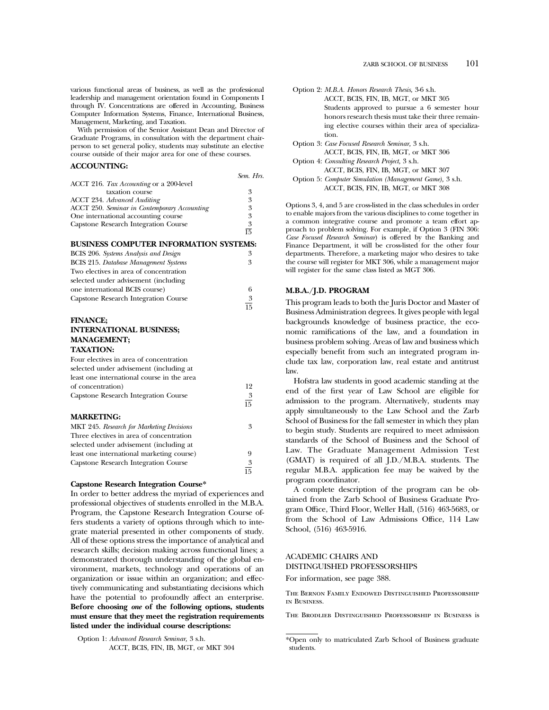various functional areas of business, as well as the professional leadership and management orientation found in Components I through IV. Concentrations are offered in Accounting, Business Computer Information Systems, Finance, International Business, Management, Marketing, and Taxation.

With permission of the Senior Assistant Dean and Director of Graduate Programs, in consultation with the department chairperson to set general policy, students may substitute an elective course outside of their major area for one of these courses.

# **ACCOUNTING:**

|                                                     | Sem. Hrs. |
|-----------------------------------------------------|-----------|
| ACCT 216. Tax Accounting or a 200-level             |           |
| taxation course                                     | 3         |
| <b>ACCT 234. Advanced Auditing</b>                  | 3         |
| <b>ACCT 250. Seminar in Contemporary Accounting</b> | 3         |
| One international accounting course                 | 3         |
| <b>Capstone Research Integration Course</b>         | 3         |
|                                                     | 厉         |
|                                                     |           |

#### **BUSINESS COMPUTER INFORMATION SYSTEMS:**

| BCIS 206. Systems Analysis and Design        | 3               |
|----------------------------------------------|-----------------|
| <b>BCIS</b> 215. Database Management Systems | 3               |
| Two electives in area of concentration       |                 |
| selected under advisement (including         |                 |
| one international BCIS course)               | 6               |
| Capstone Research Integration Course         | 3               |
|                                              | $\overline{15}$ |

# **FINANCE; INTERNATIONAL BUSINESS; MANAGEMENT; TAXATION:**

| Four electives in area of concentration    |    |
|--------------------------------------------|----|
| selected under advisement (including at    |    |
| least one international course in the area |    |
| of concentration)                          | 12 |
| Capstone Research Integration Course       | 3  |
|                                            | 15 |
| <b>MARKETING:</b>                          |    |
| MKT 245. Research for Marketing Decisions  | 3  |
| Three electives in area of concentration   |    |
| selected under advisement (including at    |    |
| least one international marketing course)  | 9  |
| Capstone Research Integration Course       | 3  |
|                                            | 15 |

#### **Capstone Research Integration Course\***

In order to better address the myriad of experiences and professional objectives of students enrolled in the M.B.A. Program, the Capstone Research Integration Course offers students a variety of options through which to integrate material presented in other components of study. All of these options stress the importance of analytical and research skills; decision making across functional lines; a demonstrated thorough understanding of the global environment, markets, technology and operations of an organization or issue within an organization; and effectively communicating and substantiating decisions which have the potential to profoundly affect an enterprise. **Before choosing** *one* **of the following options, students must ensure that they meet the registration requirements listed under the individual course descriptions:**

Option 1: *Advanced Research Seminar,* 3 s.h. ACCT, BCIS, FIN, IB, MGT, or MKT 304

| Option 2: M.B.A. Honors Research Thesis, 3-6 s.h.     |
|-------------------------------------------------------|
| ACCT, BCIS, FIN, IB, MGT, or MKT 305                  |
| Students approved to pursue a 6 semester hour         |
| honors research thesis must take their three remain-  |
| ing elective courses within their area of specializa- |
| tion.                                                 |
| Option 3: Case Focused Research Seminar, 3 s.h.       |
| ACCT, BCIS, FIN, IB, MGT, or MKT 306                  |
| Option 4: Consulting Research Project, 3 s.h.         |
| ACCT. BCIS. FIN. IB. MGT. or MKT 307                  |

Option 5: *Computer Simulation (Management Game),* 3 s.h. ACCT, BCIS, FIN, IB, MGT, or MKT 308

Options 3, 4, and 5 are cross-listed in the class schedules in order to enable majors from the various disciplines to come together in a common integrative course and promote a team effort approach to problem solving. For example, if Option 3 (FIN 306: *Case Focused Research Seminar*) is offered by the Banking and Finance Department, it will be cross-listed for the other four departments. Therefore, a marketing major who desires to take the course will register for MKT 306, while a management major will register for the same class listed as MGT 306.

#### **M.B.A./J.D. PROGRAM**

This program leads to both the Juris Doctor and Master of Business Administration degrees. It gives people with legal backgrounds knowledge of business practice, the economic ramifications of the law, and a foundation in business problem solving. Areas of law and business which especially benefit from such an integrated program include tax law, corporation law, real estate and antitrust law.

Hofstra law students in good academic standing at the end of the first year of Law School are eligible for admission to the program. Alternatively, students may apply simultaneously to the Law School and the Zarb School of Business for the fall semester in which they plan to begin study. Students are required to meet admission standards of the School of Business and the School of Law. The Graduate Management Admission Test (GMAT) is required of all J.D./M.B.A. students. The regular M.B.A. application fee may be waived by the program coordinator.

A complete description of the program can be obtained from the Zarb School of Business Graduate Program Office, Third Floor, Weller Hall, (516) 463-5683, or from the School of Law Admissions Office, 114 Law School, (516) 463-5916.

# ACADEMIC CHAIRS AND DISTINGUISHED PROFESSORSHIPS

For information, see page 388.

The Bernon Family Endowed Distinguished Professorship in Business.

The Brodlieb Distinguished Professorship in Business is

<sup>\*</sup>Open only to matriculated Zarb School of Business graduate students.